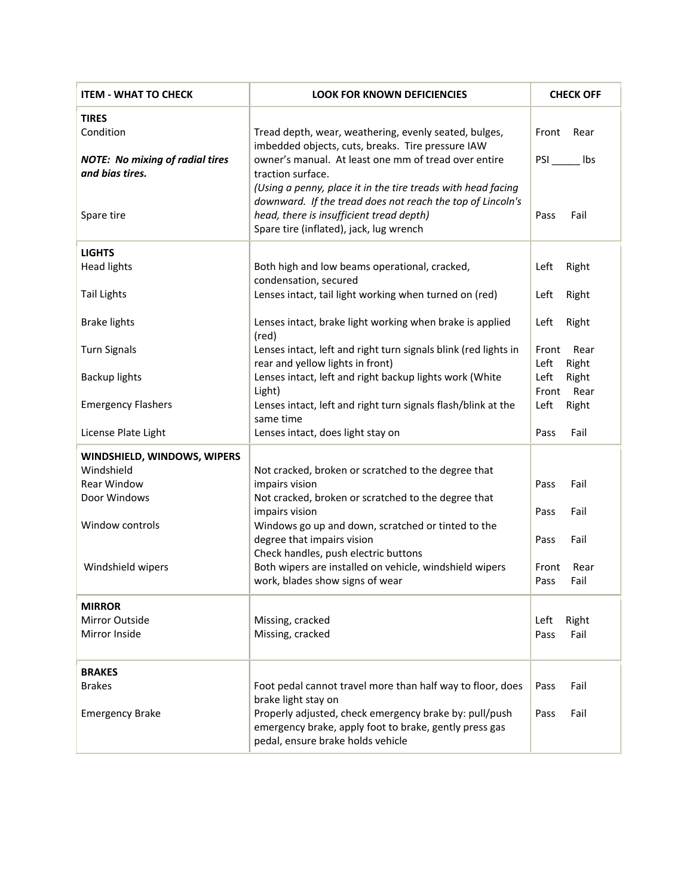| <b>ITEM - WHAT TO CHECK</b>                               | <b>LOOK FOR KNOWN DEFICIENCIES</b>                                                                                                                                                                                | <b>CHECK OFF</b>               |
|-----------------------------------------------------------|-------------------------------------------------------------------------------------------------------------------------------------------------------------------------------------------------------------------|--------------------------------|
| <b>TIRES</b><br>Condition                                 | Tread depth, wear, weathering, evenly seated, bulges,<br>imbedded objects, cuts, breaks. Tire pressure IAW                                                                                                        | Front<br>Rear                  |
| <b>NOTE: No mixing of radial tires</b><br>and bias tires. | owner's manual. At least one mm of tread over entire<br>traction surface.                                                                                                                                         | <b>PSI</b><br>Ibs              |
| Spare tire                                                | (Using a penny, place it in the tire treads with head facing<br>downward. If the tread does not reach the top of Lincoln's<br>head, there is insufficient tread depth)<br>Spare tire (inflated), jack, lug wrench | Fail<br>Pass                   |
| <b>LIGHTS</b>                                             |                                                                                                                                                                                                                   |                                |
| <b>Head lights</b>                                        | Both high and low beams operational, cracked,<br>condensation, secured                                                                                                                                            | Right<br>Left                  |
| <b>Tail Lights</b>                                        | Lenses intact, tail light working when turned on (red)                                                                                                                                                            | Right<br>Left                  |
| <b>Brake lights</b>                                       | Lenses intact, brake light working when brake is applied<br>(red)                                                                                                                                                 | Right<br>Left                  |
| <b>Turn Signals</b>                                       | Lenses intact, left and right turn signals blink (red lights in                                                                                                                                                   | Front<br>Rear                  |
| <b>Backup lights</b>                                      | rear and yellow lights in front)<br>Lenses intact, left and right backup lights work (White                                                                                                                       | Left<br>Right<br>Left<br>Right |
|                                                           | Light)                                                                                                                                                                                                            | Front<br>Rear                  |
| <b>Emergency Flashers</b>                                 | Lenses intact, left and right turn signals flash/blink at the<br>same time                                                                                                                                        | Left<br>Right                  |
| License Plate Light                                       | Lenses intact, does light stay on                                                                                                                                                                                 | Fail<br>Pass                   |
| WINDSHIELD, WINDOWS, WIPERS                               |                                                                                                                                                                                                                   |                                |
| Windshield                                                | Not cracked, broken or scratched to the degree that                                                                                                                                                               |                                |
| Rear Window<br>Door Windows                               | impairs vision<br>Not cracked, broken or scratched to the degree that                                                                                                                                             | Pass<br>Fail                   |
|                                                           | impairs vision                                                                                                                                                                                                    | Pass<br>Fail                   |
| Window controls                                           | Windows go up and down, scratched or tinted to the<br>degree that impairs vision                                                                                                                                  | Fail<br>Pass                   |
| Windshield wipers                                         | Check handles, push electric buttons<br>Both wipers are installed on vehicle, windshield wipers                                                                                                                   | Front<br>Rear                  |
|                                                           | work, blades show signs of wear                                                                                                                                                                                   | Fail<br>Pass                   |
| <b>MIRROR</b>                                             |                                                                                                                                                                                                                   |                                |
| Mirror Outside                                            | Missing, cracked                                                                                                                                                                                                  | Left<br>Right                  |
| Mirror Inside                                             | Missing, cracked                                                                                                                                                                                                  | Fail<br>Pass                   |
| <b>BRAKES</b>                                             |                                                                                                                                                                                                                   |                                |
| <b>Brakes</b>                                             | Foot pedal cannot travel more than half way to floor, does<br>brake light stay on                                                                                                                                 | Pass<br>Fail                   |
| <b>Emergency Brake</b>                                    | Properly adjusted, check emergency brake by: pull/push<br>emergency brake, apply foot to brake, gently press gas<br>pedal, ensure brake holds vehicle                                                             | Pass<br>Fail                   |